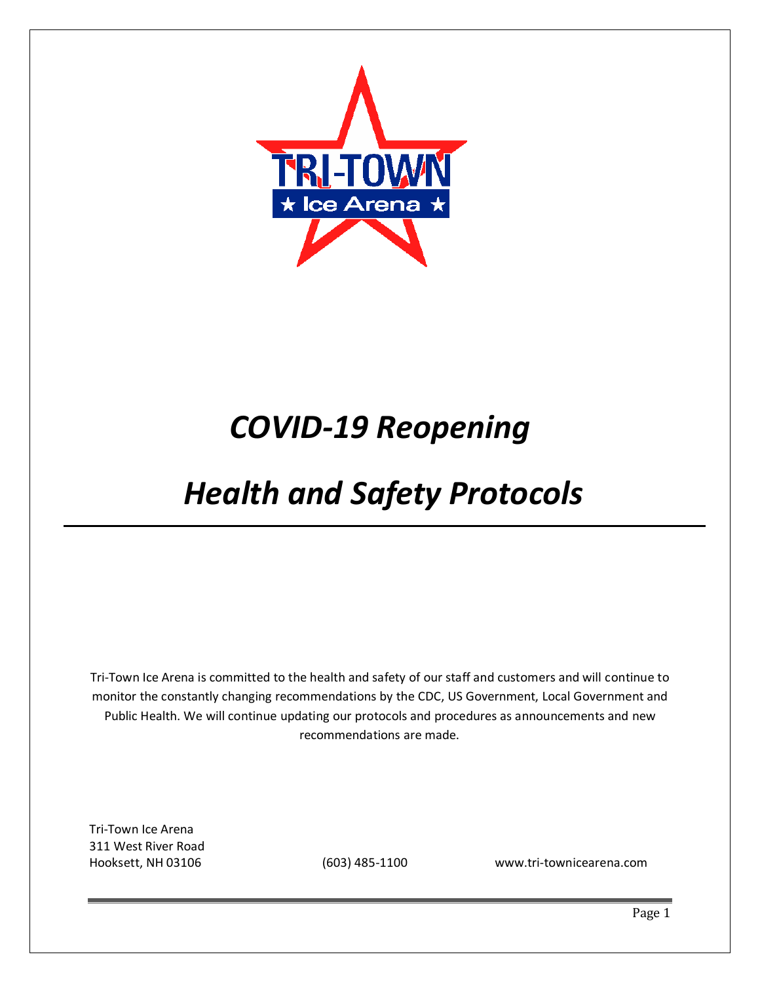

# *COVID-19 Reopening*

# *Health and Safety Protocols*

Tri-Town Ice Arena is committed to the health and safety of our staff and customers and will continue to monitor the constantly changing recommendations by the CDC, US Government, Local Government and Public Health. We will continue updating our protocols and procedures as announcements and new recommendations are made.

Tri-Town Ice Arena 311 West River Road

Hooksett, NH 03106 (603) 485-1100 www.tri-townicearena.com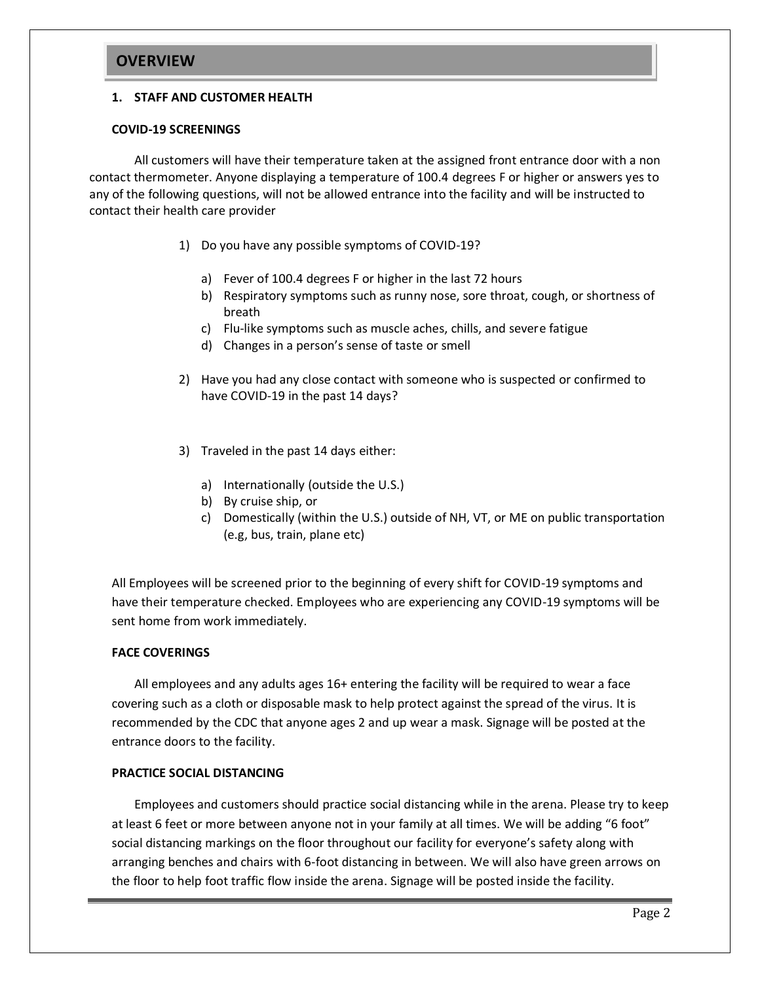# **OVERVIEW**

#### **1. STAFF AND CUSTOMER HEALTH**

#### **COVID-19 SCREENINGS**

All customers will have their temperature taken at the assigned front entrance door with a non contact thermometer. Anyone displaying a temperature of 100.4 degrees F or higher or answers yes to any of the following questions, will not be allowed entrance into the facility and will be instructed to contact their health care provider

- 1) Do you have any possible symptoms of COVID-19?
	- a) Fever of 100.4 degrees F or higher in the last 72 hours
	- b) Respiratory symptoms such as runny nose, sore throat, cough, or shortness of breath
	- c) Flu-like symptoms such as muscle aches, chills, and severe fatigue
	- d) Changes in a person's sense of taste or smell
- 2) Have you had any close contact with someone who is suspected or confirmed to have COVID-19 in the past 14 days?
- 3) Traveled in the past 14 days either:
	- a) Internationally (outside the U.S.)
	- b) By cruise ship, or
	- c) Domestically (within the U.S.) outside of NH, VT, or ME on public transportation (e.g, bus, train, plane etc)

All Employees will be screened prior to the beginning of every shift for COVID-19 symptoms and have their temperature checked. Employees who are experiencing any COVID-19 symptoms will be sent home from work immediately.

## **FACE COVERINGS**

All employees and any adults ages 16+ entering the facility will be required to wear a face covering such as a cloth or disposable mask to help protect against the spread of the virus. It is recommended by the CDC that anyone ages 2 and up wear a mask. Signage will be posted at the entrance doors to the facility.

## **PRACTICE SOCIAL DISTANCING**

Employees and customers should practice social distancing while in the arena. Please try to keep at least 6 feet or more between anyone not in your family at all times. We will be adding "6 foot" social distancing markings on the floor throughout our facility for everyone's safety along with arranging benches and chairs with 6-foot distancing in between. We will also have green arrows on the floor to help foot traffic flow inside the arena. Signage will be posted inside the facility.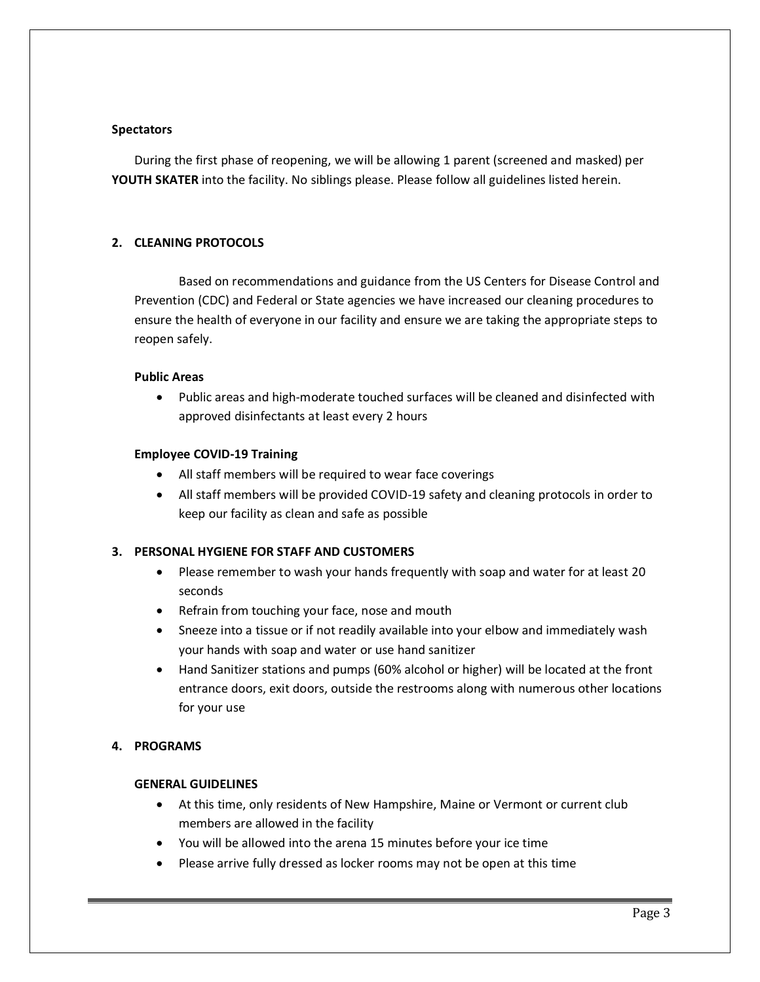#### **Spectators**

During the first phase of reopening, we will be allowing 1 parent (screened and masked) per **YOUTH SKATER** into the facility. No siblings please. Please follow all guidelines listed herein.

#### **2. CLEANING PROTOCOLS**

Based on recommendations and guidance from the US Centers for Disease Control and Prevention (CDC) and Federal or State agencies we have increased our cleaning procedures to ensure the health of everyone in our facility and ensure we are taking the appropriate steps to reopen safely.

#### **Public Areas**

 Public areas and high-moderate touched surfaces will be cleaned and disinfected with approved disinfectants at least every 2 hours

#### **Employee COVID-19 Training**

- All staff members will be required to wear face coverings
- All staff members will be provided COVID-19 safety and cleaning protocols in order to keep our facility as clean and safe as possible

## **3. PERSONAL HYGIENE FOR STAFF AND CUSTOMERS**

- Please remember to wash your hands frequently with soap and water for at least 20 seconds
- Refrain from touching your face, nose and mouth
- Sneeze into a tissue or if not readily available into your elbow and immediately wash your hands with soap and water or use hand sanitizer
- Hand Sanitizer stations and pumps (60% alcohol or higher) will be located at the front entrance doors, exit doors, outside the restrooms along with numerous other locations for your use

## **4. PROGRAMS**

#### **GENERAL GUIDELINES**

- At this time, only residents of New Hampshire, Maine or Vermont or current club members are allowed in the facility
- You will be allowed into the arena 15 minutes before your ice time
- Please arrive fully dressed as locker rooms may not be open at this time